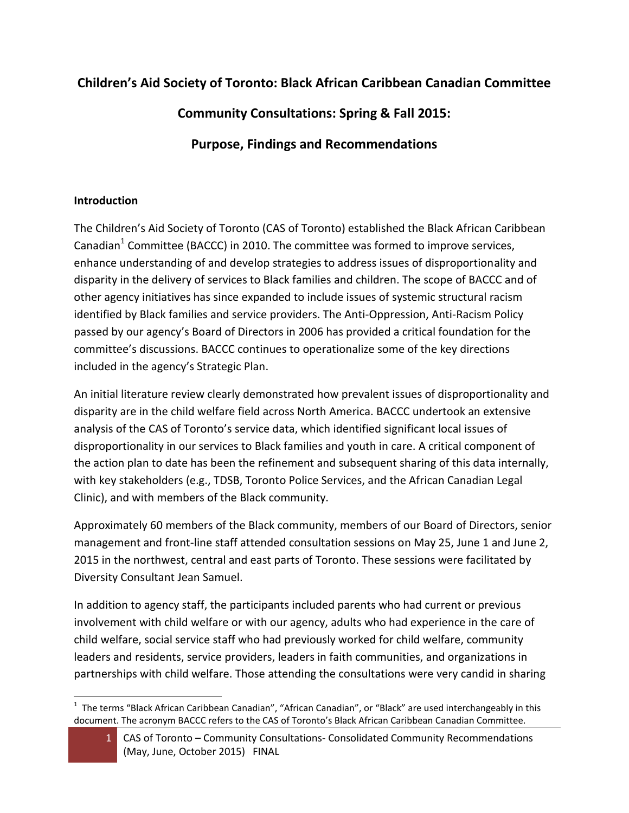# **Children's Aid Society of Toronto: Black African Caribbean Canadian Committee**

**Community Consultations: Spring & Fall 2015:**

**Purpose, Findings and Recommendations**

## **Introduction**

The Children's Aid Society of Toronto (CAS of Toronto) established the Black African Caribbean Canadian<sup>1</sup> Committee (BACCC) in 2010. The committee was formed to improve services, enhance understanding of and develop strategies to address issues of disproportionality and disparity in the delivery of services to Black families and children. The scope of BACCC and of other agency initiatives has since expanded to include issues of systemic structural racism identified by Black families and service providers. The Anti-Oppression, Anti-Racism Policy passed by our agency's Board of Directors in 2006 has provided a critical foundation for the committee's discussions. BACCC continues to operationalize some of the key directions included in the agency's Strategic Plan.

An initial literature review clearly demonstrated how prevalent issues of disproportionality and disparity are in the child welfare field across North America. BACCC undertook an extensive analysis of the CAS of Toronto's service data, which identified significant local issues of disproportionality in our services to Black families and youth in care. A critical component of the action plan to date has been the refinement and subsequent sharing of this data internally, with key stakeholders (e.g., TDSB, Toronto Police Services, and the African Canadian Legal Clinic), and with members of the Black community.

Approximately 60 members of the Black community, members of our Board of Directors, senior management and front-line staff attended consultation sessions on May 25, June 1 and June 2, 2015 in the northwest, central and east parts of Toronto. These sessions were facilitated by Diversity Consultant Jean Samuel.

In addition to agency staff, the participants included parents who had current or previous involvement with child welfare or with our agency, adults who had experience in the care of child welfare, social service staff who had previously worked for child welfare, community leaders and residents, service providers, leaders in faith communities, and organizations in partnerships with child welfare. Those attending the consultations were very candid in sharing

l <sup>1</sup> The terms "Black African Caribbean Canadian", "African Canadian", or "Black" are used interchangeably in this document. The acronym BACCC refers to the CAS of Toronto's Black African Caribbean Canadian Committee.

<sup>1</sup> CAS of Toronto – Community Consultations- Consolidated Community Recommendations (May, June, October 2015) FINAL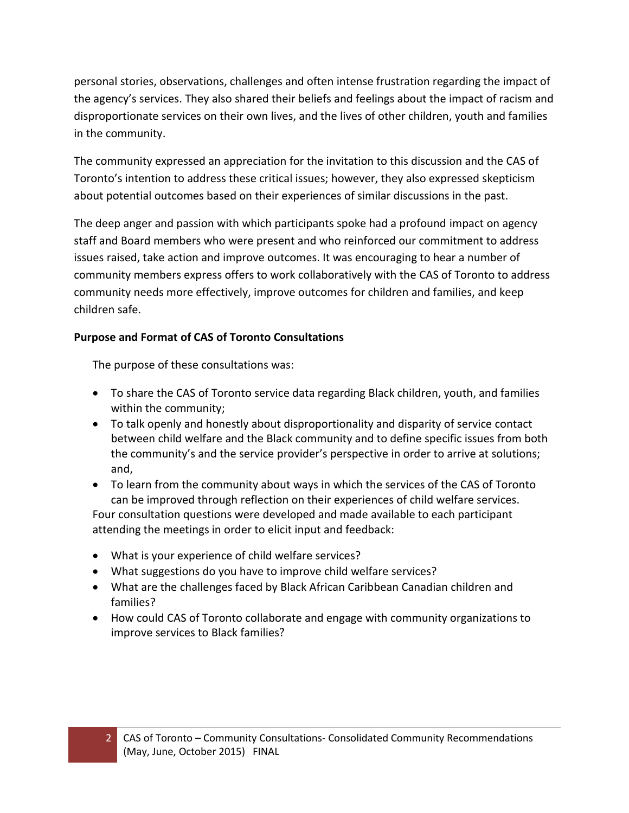personal stories, observations, challenges and often intense frustration regarding the impact of the agency's services. They also shared their beliefs and feelings about the impact of racism and disproportionate services on their own lives, and the lives of other children, youth and families in the community.

The community expressed an appreciation for the invitation to this discussion and the CAS of Toronto's intention to address these critical issues; however, they also expressed skepticism about potential outcomes based on their experiences of similar discussions in the past.

The deep anger and passion with which participants spoke had a profound impact on agency staff and Board members who were present and who reinforced our commitment to address issues raised, take action and improve outcomes. It was encouraging to hear a number of community members express offers to work collaboratively with the CAS of Toronto to address community needs more effectively, improve outcomes for children and families, and keep children safe.

## **Purpose and Format of CAS of Toronto Consultations**

The purpose of these consultations was:

- To share the CAS of Toronto service data regarding Black children, youth, and families within the community;
- To talk openly and honestly about disproportionality and disparity of service contact between child welfare and the Black community and to define specific issues from both the community's and the service provider's perspective in order to arrive at solutions; and,
- To learn from the community about ways in which the services of the CAS of Toronto can be improved through reflection on their experiences of child welfare services. Four consultation questions were developed and made available to each participant attending the meetings in order to elicit input and feedback:
- What is your experience of child welfare services?
- What suggestions do you have to improve child welfare services?
- What are the challenges faced by Black African Caribbean Canadian children and families?
- How could CAS of Toronto collaborate and engage with community organizations to improve services to Black families?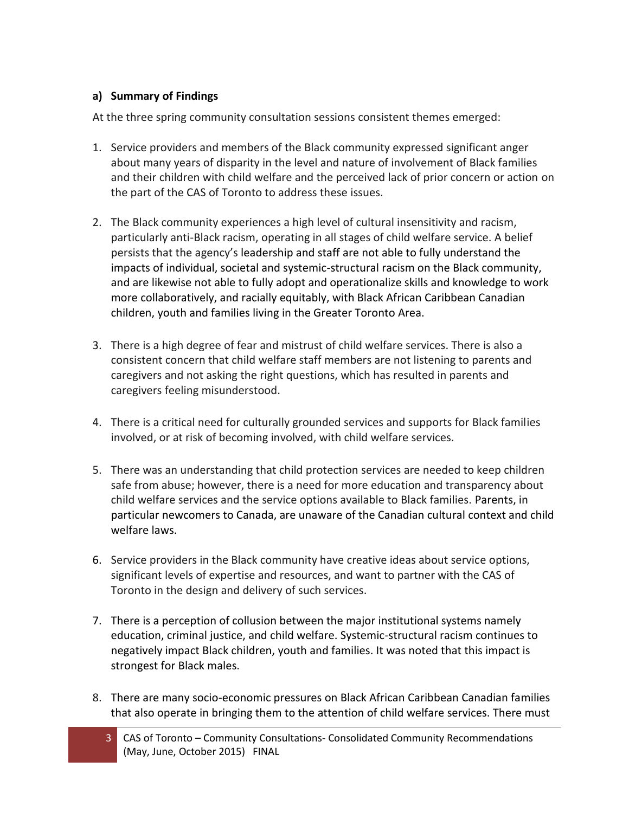### **a) Summary of Findings**

At the three spring community consultation sessions consistent themes emerged:

- 1. Service providers and members of the Black community expressed significant anger about many years of disparity in the level and nature of involvement of Black families and their children with child welfare and the perceived lack of prior concern or action on the part of the CAS of Toronto to address these issues.
- 2. The Black community experiences a high level of cultural insensitivity and racism, particularly anti-Black racism, operating in all stages of child welfare service. A belief persists that the agency's leadership and staff are not able to fully understand the impacts of individual, societal and systemic-structural racism on the Black community, and are likewise not able to fully adopt and operationalize skills and knowledge to work more collaboratively, and racially equitably, with Black African Caribbean Canadian children, youth and families living in the Greater Toronto Area.
- 3. There is a high degree of fear and mistrust of child welfare services. There is also a consistent concern that child welfare staff members are not listening to parents and caregivers and not asking the right questions, which has resulted in parents and caregivers feeling misunderstood.
- 4. There is a critical need for culturally grounded services and supports for Black families involved, or at risk of becoming involved, with child welfare services.
- 5. There was an understanding that child protection services are needed to keep children safe from abuse; however, there is a need for more education and transparency about child welfare services and the service options available to Black families. Parents, in particular newcomers to Canada, are unaware of the Canadian cultural context and child welfare laws.
- 6. Service providers in the Black community have creative ideas about service options, significant levels of expertise and resources, and want to partner with the CAS of Toronto in the design and delivery of such services.
- 7. There is a perception of collusion between the major institutional systems namely education, criminal justice, and child welfare. Systemic-structural racism continues to negatively impact Black children, youth and families. It was noted that this impact is strongest for Black males.
- 8. There are many socio-economic pressures on Black African Caribbean Canadian families that also operate in bringing them to the attention of child welfare services. There must
	- 3 CAS of Toronto Community Consultations- Consolidated Community Recommendations (May, June, October 2015) FINAL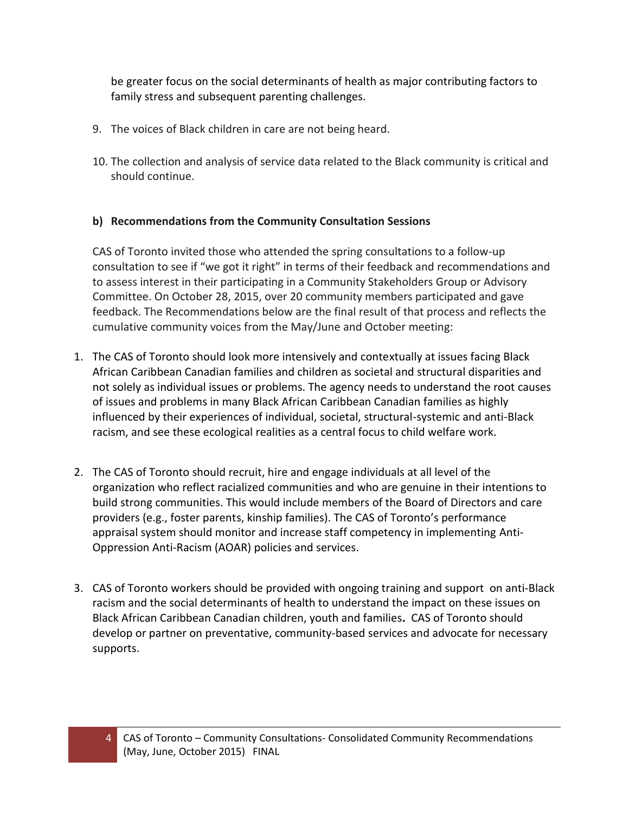be greater focus on the social determinants of health as major contributing factors to family stress and subsequent parenting challenges.

- 9. The voices of Black children in care are not being heard.
- 10. The collection and analysis of service data related to the Black community is critical and should continue.

#### **b) Recommendations from the Community Consultation Sessions**

CAS of Toronto invited those who attended the spring consultations to a follow-up consultation to see if "we got it right" in terms of their feedback and recommendations and to assess interest in their participating in a Community Stakeholders Group or Advisory Committee. On October 28, 2015, over 20 community members participated and gave feedback. The Recommendations below are the final result of that process and reflects the cumulative community voices from the May/June and October meeting:

- 1. The CAS of Toronto should look more intensively and contextually at issues facing Black African Caribbean Canadian families and children as societal and structural disparities and not solely as individual issues or problems. The agency needs to understand the root causes of issues and problems in many Black African Caribbean Canadian families as highly influenced by their experiences of individual, societal, structural-systemic and anti-Black racism, and see these ecological realities as a central focus to child welfare work.
- 2. The CAS of Toronto should recruit, hire and engage individuals at all level of the organization who reflect racialized communities and who are genuine in their intentions to build strong communities. This would include members of the Board of Directors and care providers (e.g., foster parents, kinship families). The CAS of Toronto's performance appraisal system should monitor and increase staff competency in implementing Anti-Oppression Anti-Racism (AOAR) policies and services.
- 3. CAS of Toronto workers should be provided with ongoing training and support on anti-Black racism and the social determinants of health to understand the impact on these issues on Black African Caribbean Canadian children, youth and families**.** CAS of Toronto should develop or partner on preventative, community-based services and advocate for necessary supports.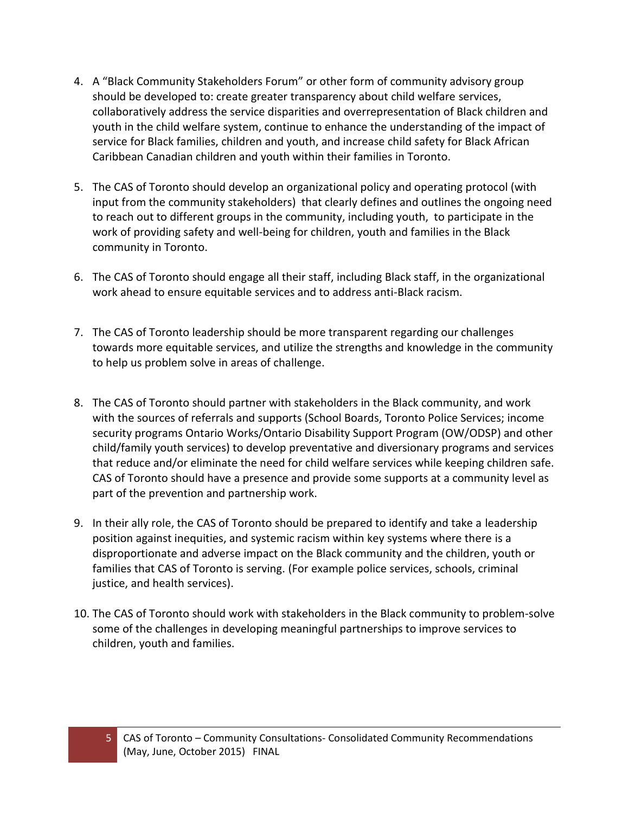- 4. A "Black Community Stakeholders Forum" or other form of community advisory group should be developed to: create greater transparency about child welfare services, collaboratively address the service disparities and overrepresentation of Black children and youth in the child welfare system, continue to enhance the understanding of the impact of service for Black families, children and youth, and increase child safety for Black African Caribbean Canadian children and youth within their families in Toronto.
- 5. The CAS of Toronto should develop an organizational policy and operating protocol (with input from the community stakeholders) that clearly defines and outlines the ongoing need to reach out to different groups in the community, including youth, to participate in the work of providing safety and well-being for children, youth and families in the Black community in Toronto.
- 6. The CAS of Toronto should engage all their staff, including Black staff, in the organizational work ahead to ensure equitable services and to address anti-Black racism.
- 7. The CAS of Toronto leadership should be more transparent regarding our challenges towards more equitable services, and utilize the strengths and knowledge in the community to help us problem solve in areas of challenge.
- 8. The CAS of Toronto should partner with stakeholders in the Black community, and work with the sources of referrals and supports (School Boards, Toronto Police Services; income security programs Ontario Works/Ontario Disability Support Program (OW/ODSP) and other child/family youth services) to develop preventative and diversionary programs and services that reduce and/or eliminate the need for child welfare services while keeping children safe. CAS of Toronto should have a presence and provide some supports at a community level as part of the prevention and partnership work.
- 9. In their ally role, the CAS of Toronto should be prepared to identify and take a leadership position against inequities, and systemic racism within key systems where there is a disproportionate and adverse impact on the Black community and the children, youth or families that CAS of Toronto is serving. (For example police services, schools, criminal justice, and health services).
- 10. The CAS of Toronto should work with stakeholders in the Black community to problem-solve some of the challenges in developing meaningful partnerships to improve services to children, youth and families.